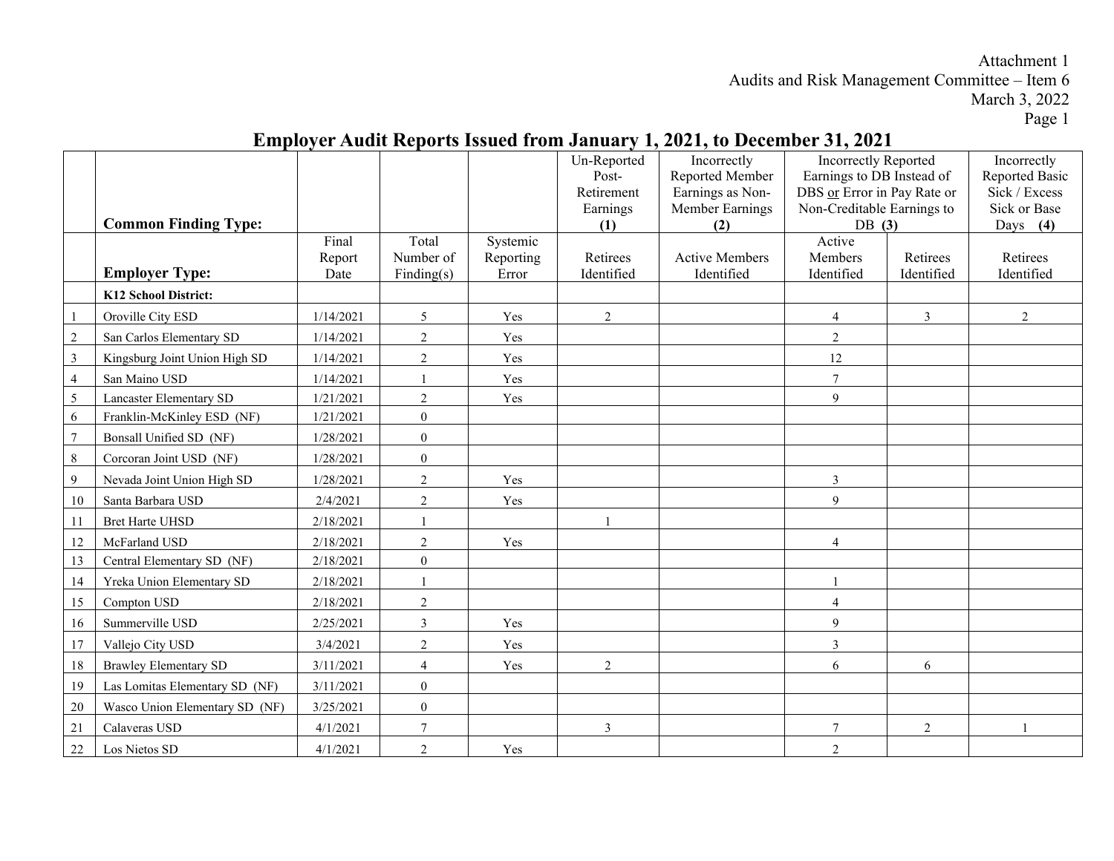### Page 1

|                |                                |           |                  |           | Un-Reported     | Incorrectly            | <b>Incorrectly Reported</b>            |                | Incorrectly                   |
|----------------|--------------------------------|-----------|------------------|-----------|-----------------|------------------------|----------------------------------------|----------------|-------------------------------|
|                |                                |           |                  |           | Post-           | Reported Member        | Earnings to DB Instead of              |                | Reported Basic                |
|                |                                |           |                  |           | Retirement      | Earnings as Non-       | DBS or Error in Pay Rate or            |                | Sick / Excess<br>Sick or Base |
|                | <b>Common Finding Type:</b>    |           |                  |           | Earnings<br>(1) | Member Earnings<br>(2) | Non-Creditable Earnings to<br>DB $(3)$ |                | Days $(4)$                    |
|                |                                | Final     | Total            | Systemic  |                 |                        | Active                                 |                |                               |
|                |                                | Report    | Number of        | Reporting | Retirees        | <b>Active Members</b>  | Members                                | Retirees       | Retirees                      |
|                | <b>Employer Type:</b>          | Date      | Finding(s)       | Error     | Identified      | Identified             | Identified                             | Identified     | Identified                    |
|                | K12 School District:           |           |                  |           |                 |                        |                                        |                |                               |
|                | Oroville City ESD              | 1/14/2021 | 5                | Yes       | $\overline{2}$  |                        | $\overline{4}$                         | $\mathfrak{Z}$ | $\overline{2}$                |
| $\overline{2}$ | San Carlos Elementary SD       | 1/14/2021 | $\overline{2}$   | Yes       |                 |                        | $\overline{2}$                         |                |                               |
| $\overline{3}$ | Kingsburg Joint Union High SD  | 1/14/2021 | $\overline{2}$   | Yes       |                 |                        | 12                                     |                |                               |
| $\overline{4}$ | San Maino USD                  | 1/14/2021 |                  | Yes       |                 |                        | $\tau$                                 |                |                               |
| 5              | <b>Lancaster Elementary SD</b> | 1/21/2021 | $\overline{2}$   | Yes       |                 |                        | 9                                      |                |                               |
| 6              | Franklin-McKinley ESD (NF)     | 1/21/2021 | $\overline{0}$   |           |                 |                        |                                        |                |                               |
| $\overline{7}$ | Bonsall Unified SD (NF)        | 1/28/2021 | $\mathbf{0}$     |           |                 |                        |                                        |                |                               |
| 8              | Corcoran Joint USD (NF)        | 1/28/2021 | $\boldsymbol{0}$ |           |                 |                        |                                        |                |                               |
| 9              | Nevada Joint Union High SD     | 1/28/2021 | $\overline{2}$   | Yes       |                 |                        | $\mathbf{3}$                           |                |                               |
| 10             | Santa Barbara USD              | 2/4/2021  | $\overline{c}$   | Yes       |                 |                        | 9                                      |                |                               |
| 11             | <b>Bret Harte UHSD</b>         | 2/18/2021 |                  |           |                 |                        |                                        |                |                               |
| 12             | McFarland USD                  | 2/18/2021 | $\sqrt{2}$       | Yes       |                 |                        | $\overline{4}$                         |                |                               |
| 13             | Central Elementary SD (NF)     | 2/18/2021 | $\boldsymbol{0}$ |           |                 |                        |                                        |                |                               |
| 14             | Yreka Union Elementary SD      | 2/18/2021 |                  |           |                 |                        | $\mathbf{1}$                           |                |                               |
| 15             | Compton USD                    | 2/18/2021 | $\overline{2}$   |           |                 |                        | $\overline{4}$                         |                |                               |
| 16             | Summerville USD                | 2/25/2021 | $\mathfrak{Z}$   | Yes       |                 |                        | $\overline{9}$                         |                |                               |
| 17             | Vallejo City USD               | 3/4/2021  | $\overline{2}$   | Yes       |                 |                        | $\overline{3}$                         |                |                               |
| 18             | <b>Brawley Elementary SD</b>   | 3/11/2021 | $\overline{4}$   | Yes       | $\overline{2}$  |                        | 6                                      | 6              |                               |
| 19             | Las Lomitas Elementary SD (NF) | 3/11/2021 | $\mathbf{0}$     |           |                 |                        |                                        |                |                               |
| 20             | Wasco Union Elementary SD (NF) | 3/25/2021 | $\overline{0}$   |           |                 |                        |                                        |                |                               |
| 21             | Calaveras USD                  | 4/1/2021  | $\overline{7}$   |           | $\overline{3}$  |                        | $\tau$                                 | $\overline{2}$ |                               |
| 22             | Los Nietos SD                  | 4/1/2021  | $\overline{2}$   | Yes       |                 |                        | $\overline{2}$                         |                |                               |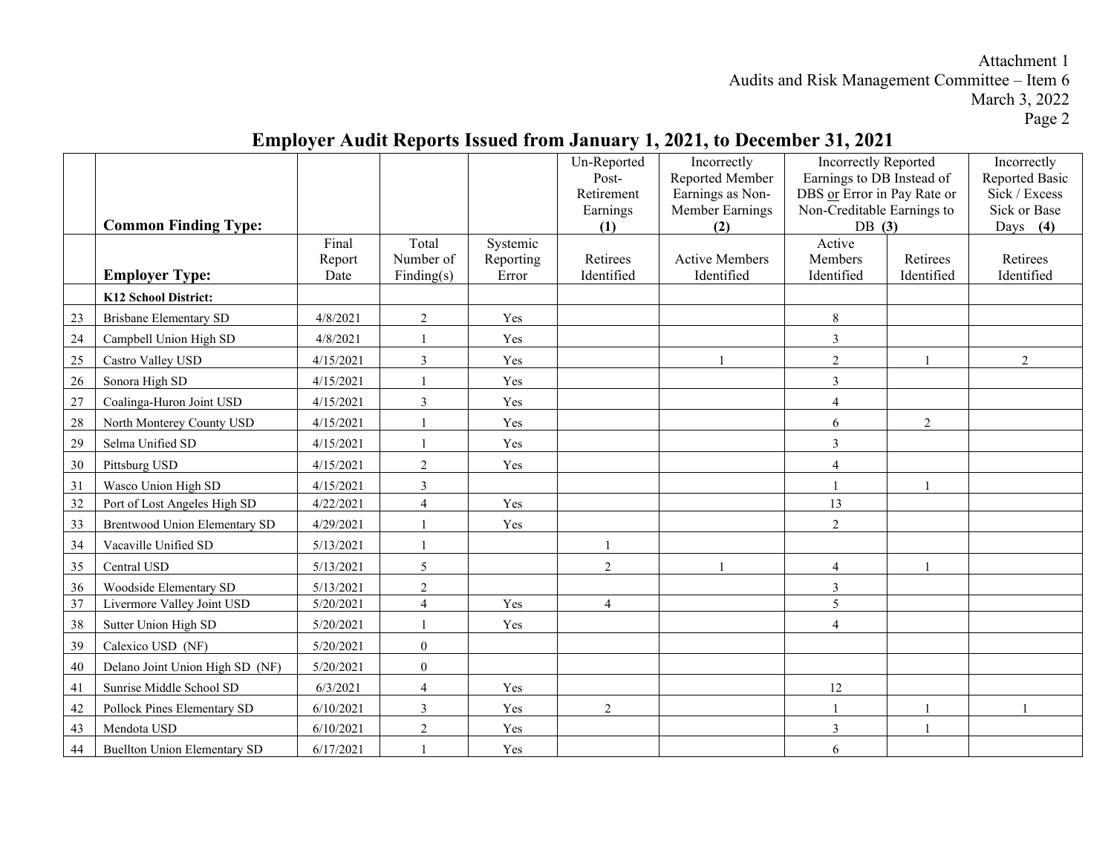#### **Common Finding Type:** Un-Reported Post-Retirement Earnings **(1)** Incorrectly Reported Member Earnings as Non-Member Earnings **(2)** Incorrectly Reported Earnings to DB Instead of DBS or Error in Pay Rate or Non-Creditable Earnings to DB **(3)** Incorrectly Reported Basic Sick / Excess Sick or Base Days **(4) Employer Type:** Final Report Date Total Number of Finding(s) Systemic Reporting Error Retirees Identified Active Members Identified Active Members Identified Retirees Identified Retirees Identified **K12 School District:** 23 Brisbane Elementary SD 14/8/2021 2 Yes 1 24 Campbell Union High SD 4/8/2021 1 Yes 3 25 | Castro Valley USD | 4/15/2021 | 3 | Yes | 1 | 2 | 1 | 2 26 Sonora High SD 1 4/15/2021 1 Yes 3 27 Coalinga-Huron Joint USD 4/15/2021 3 Yes 4 28 North Monterey County USD 4/15/2021 1 Yes 6 2 29 Selma Unified SD 1 4/15/2021 1 Yes 3 30 Pittsburg USD 1 4/15/2021 2 9 Yes 4 31 Wasco Union High SD 4/15/2021 3 1 1  $32$  Port of Lost Angeles High SD  $\begin{array}{|c|c|c|c|c|c|c|c|c|} \hline 4 & 4 & \text{Yes} & \text{S} \ \hline \end{array}$ 33 Brentwood Union Elementary SD 4/29/2021 1 Yes 2 34 Vacaville Unified SD 5/13/2021 1 1 35 Central USD 35 2021 5 2 2 1 4 1 36 Woodside Elementary SD 5/13/2021 2 3 37 Livermore Valley Joint USD 5/20/2021 4 Yes 4 5 38 Sutter Union High SD 38 Sutter Union High SD 38 Sutter Union High SD 4 39 Calexico USD (NF) 5/20/2021 0 40 Delano Joint Union High SD (NF) 5/20/2021 0 41 Sunrise Middle School SD 6/3/2021 4 Yes 12 42 Pollock Pines Elementary SD 6/10/2021 3 Yes 2 1 1 1 43 Mendota USD 6/10/2021 2 Yes 3 1 44 Buellton Union Elementary SD 6/17/2021 1 Yes 6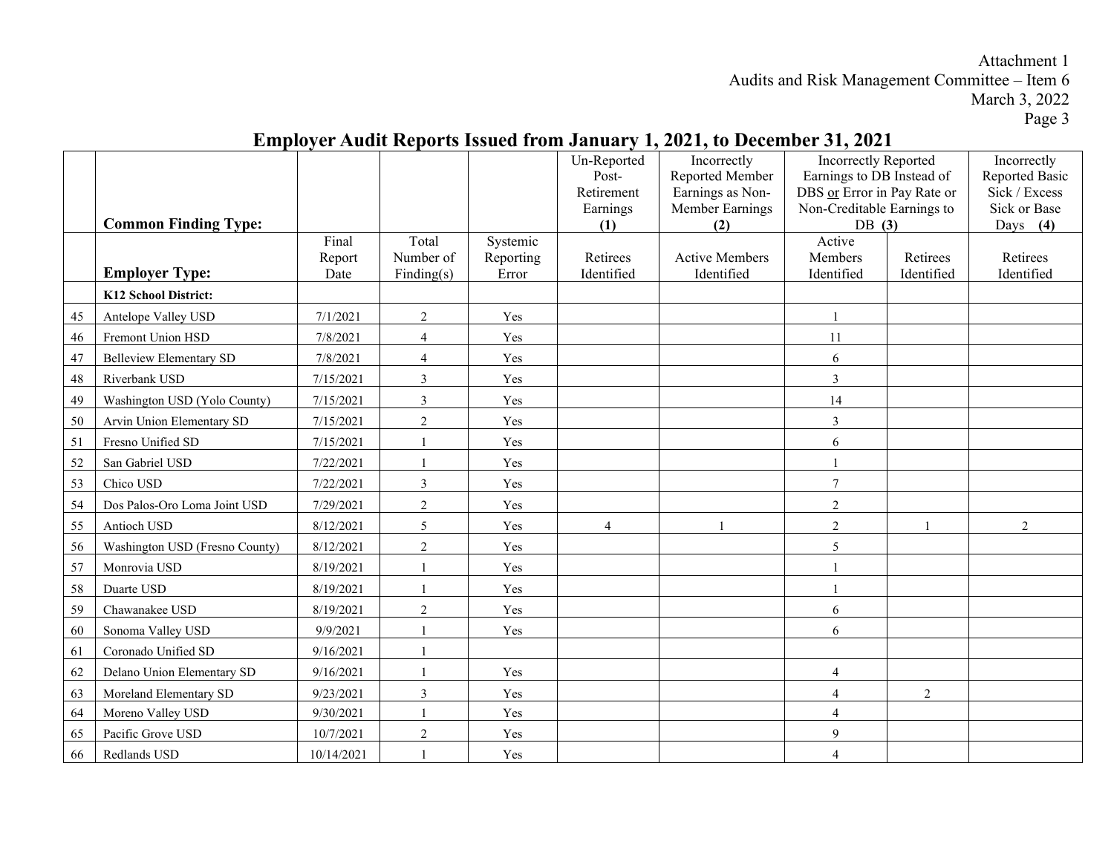|    |                                |            |                |           | Un-Reported            | Incorrectly                         | <b>Incorrectly Reported</b>                               |                | Incorrectly                   |
|----|--------------------------------|------------|----------------|-----------|------------------------|-------------------------------------|-----------------------------------------------------------|----------------|-------------------------------|
|    |                                |            |                |           | Post-                  | Reported Member                     | Earnings to DB Instead of                                 |                | Reported Basic                |
|    |                                |            |                |           | Retirement<br>Earnings | Earnings as Non-<br>Member Earnings | DBS or Error in Pay Rate or<br>Non-Creditable Earnings to |                | Sick / Excess<br>Sick or Base |
|    | <b>Common Finding Type:</b>    |            |                |           | (1)                    | (2)                                 | DB $(3)$                                                  |                | Days $(4)$                    |
|    |                                | Final      | Total          | Systemic  |                        |                                     | Active                                                    |                |                               |
|    |                                | Report     | Number of      | Reporting | Retirees               | <b>Active Members</b>               | Members                                                   | Retirees       | Retirees                      |
|    | <b>Employer Type:</b>          | Date       | Finding(s)     | Error     | Identified             | Identified                          | Identified                                                | Identified     | Identified                    |
|    | K12 School District:           |            |                |           |                        |                                     |                                                           |                |                               |
| 45 | Antelope Valley USD            | 7/1/2021   | $\overline{2}$ | Yes       |                        |                                     | $\mathbf{1}$                                              |                |                               |
| 46 | Fremont Union HSD              | 7/8/2021   | $\overline{4}$ | Yes       |                        |                                     | 11                                                        |                |                               |
| 47 | <b>Belleview Elementary SD</b> | 7/8/2021   | $\overline{4}$ | Yes       |                        |                                     | 6                                                         |                |                               |
| 48 | Riverbank USD                  | 7/15/2021  | 3              | Yes       |                        |                                     | 3                                                         |                |                               |
| 49 | Washington USD (Yolo County)   | 7/15/2021  | 3              | Yes       |                        |                                     | 14                                                        |                |                               |
| 50 | Arvin Union Elementary SD      | 7/15/2021  | $\overline{2}$ | Yes       |                        |                                     | $\mathfrak{Z}$                                            |                |                               |
| 51 | Fresno Unified SD              | 7/15/2021  |                | Yes       |                        |                                     | 6                                                         |                |                               |
| 52 | San Gabriel USD                | 7/22/2021  |                | Yes       |                        |                                     |                                                           |                |                               |
| 53 | Chico USD                      | 7/22/2021  | 3              | Yes       |                        |                                     | $\overline{7}$                                            |                |                               |
| 54 | Dos Palos-Oro Loma Joint USD   | 7/29/2021  | $\overline{2}$ | Yes       |                        |                                     | $\overline{2}$                                            |                |                               |
| 55 | Antioch USD                    | 8/12/2021  | 5              | Yes       | $\overline{4}$         |                                     | $\overline{2}$                                            |                | $\overline{2}$                |
| 56 | Washington USD (Fresno County) | 8/12/2021  | $\sqrt{2}$     | Yes       |                        |                                     | 5                                                         |                |                               |
| 57 | Monrovia USD                   | 8/19/2021  | $\overline{1}$ | Yes       |                        |                                     |                                                           |                |                               |
| 58 | Duarte USD                     | 8/19/2021  |                | Yes       |                        |                                     |                                                           |                |                               |
| 59 | Chawanakee USD                 | 8/19/2021  | 2              | Yes       |                        |                                     | 6                                                         |                |                               |
| 60 | Sonoma Valley USD              | 9/9/2021   | $\overline{1}$ | Yes       |                        |                                     | 6                                                         |                |                               |
| 61 | Coronado Unified SD            | 9/16/2021  |                |           |                        |                                     |                                                           |                |                               |
| 62 | Delano Union Elementary SD     | 9/16/2021  |                | Yes       |                        |                                     | $\overline{4}$                                            |                |                               |
| 63 | Moreland Elementary SD         | 9/23/2021  | $\mathfrak{Z}$ | Yes       |                        |                                     | $\overline{4}$                                            | $\mathfrak{2}$ |                               |
| 64 | Moreno Valley USD              | 9/30/2021  | $\overline{1}$ | Yes       |                        |                                     | $\overline{4}$                                            |                |                               |
| 65 | Pacific Grove USD              | 10/7/2021  | $\overline{2}$ | Yes       |                        |                                     | 9                                                         |                |                               |
| 66 | Redlands USD                   | 10/14/2021 |                | Yes       |                        |                                     | $\overline{4}$                                            |                |                               |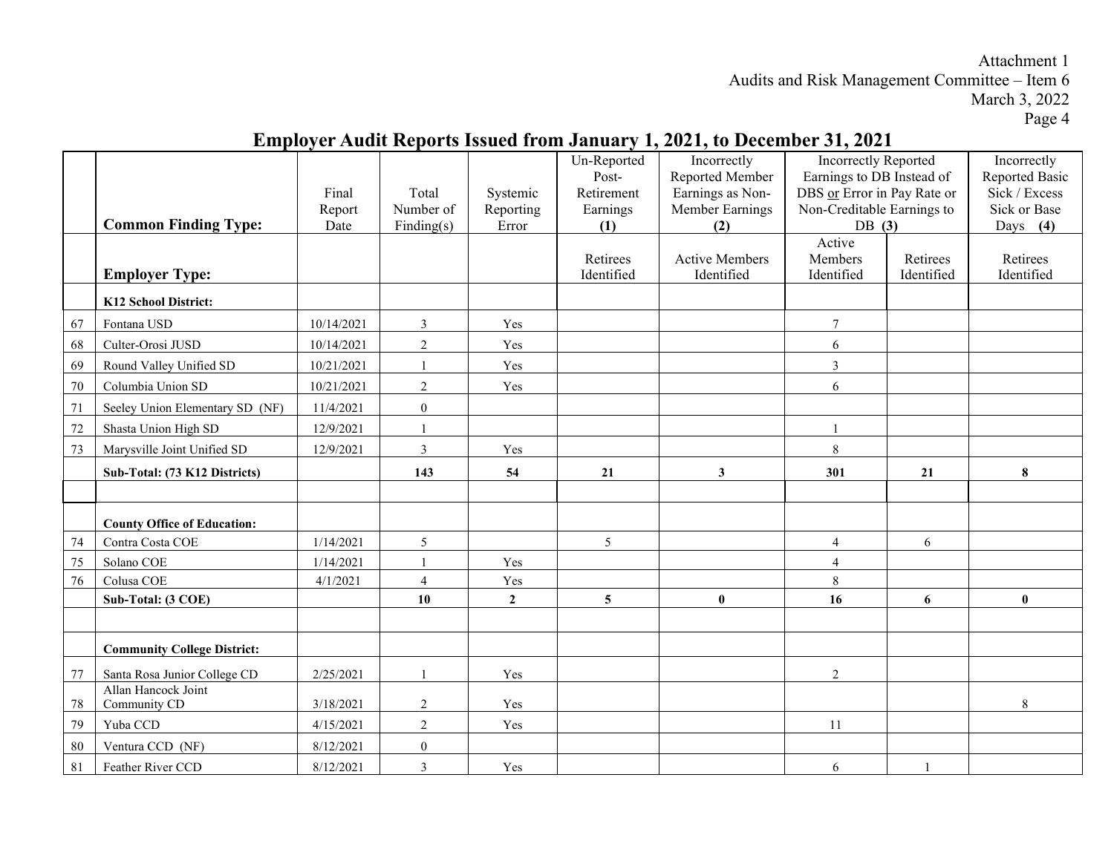|      | <b>Common Finding Type:</b>         | Final<br>Report<br>Date | Total<br>Number of<br>Finding(s) | Systemic<br>Reporting<br>Error | Un-Reported<br>Post-<br>Retirement<br>Earnings<br>(1) | Incorrectly<br>Reported Member<br>Earnings as Non-<br>Member Earnings<br>(2) | <b>Incorrectly Reported</b><br>Earnings to DB Instead of<br>DBS or Error in Pay Rate or<br>Non-Creditable Earnings to<br>DB $(3)$ |                        | Incorrectly<br>Reported Basic<br>Sick / Excess<br>Sick or Base<br>Days $(4)$ |
|------|-------------------------------------|-------------------------|----------------------------------|--------------------------------|-------------------------------------------------------|------------------------------------------------------------------------------|-----------------------------------------------------------------------------------------------------------------------------------|------------------------|------------------------------------------------------------------------------|
|      | <b>Employer Type:</b>               |                         |                                  |                                | Retirees<br>Identified                                | <b>Active Members</b><br>Identified                                          | Active<br>Members<br>Identified                                                                                                   | Retirees<br>Identified | Retirees<br>Identified                                                       |
|      | K12 School District:                |                         |                                  |                                |                                                       |                                                                              |                                                                                                                                   |                        |                                                                              |
| 67   | Fontana USD                         | 10/14/2021              | $\mathfrak{Z}$                   | Yes                            |                                                       |                                                                              | $\boldsymbol{7}$                                                                                                                  |                        |                                                                              |
| 68   | Culter-Orosi JUSD                   | 10/14/2021              | $\overline{2}$                   | Yes                            |                                                       |                                                                              | 6                                                                                                                                 |                        |                                                                              |
| 69   | Round Valley Unified SD             | 10/21/2021              | $\overline{1}$                   | Yes                            |                                                       |                                                                              | $\mathfrak{Z}$                                                                                                                    |                        |                                                                              |
| 70   | Columbia Union SD                   | 10/21/2021              | $\sqrt{2}$                       | Yes                            |                                                       |                                                                              | 6                                                                                                                                 |                        |                                                                              |
| 71   | Seeley Union Elementary SD (NF)     | 11/4/2021               | $\boldsymbol{0}$                 |                                |                                                       |                                                                              |                                                                                                                                   |                        |                                                                              |
| 72   | Shasta Union High SD                | 12/9/2021               |                                  |                                |                                                       |                                                                              |                                                                                                                                   |                        |                                                                              |
| 73   | Marysville Joint Unified SD         | 12/9/2021               | $\mathfrak{Z}$                   | Yes                            |                                                       |                                                                              | $\,8\,$                                                                                                                           |                        |                                                                              |
|      | Sub-Total: (73 K12 Districts)       |                         | 143                              | 54                             | 21                                                    | $\mathbf{3}$                                                                 | 301                                                                                                                               | 21                     | 8                                                                            |
|      | <b>County Office of Education:</b>  |                         |                                  |                                |                                                       |                                                                              |                                                                                                                                   |                        |                                                                              |
| 74   | Contra Costa COE                    | 1/14/2021               | 5                                |                                | 5 <sup>5</sup>                                        |                                                                              | $\overline{4}$                                                                                                                    | 6                      |                                                                              |
| 75   | Solano COE                          | 1/14/2021               | $\overline{1}$                   | Yes                            |                                                       |                                                                              | $\overline{4}$                                                                                                                    |                        |                                                                              |
| 76   | Colusa COE                          | 4/1/2021                | $\overline{4}$                   | Yes                            |                                                       |                                                                              | $\,8\,$                                                                                                                           |                        |                                                                              |
|      | Sub-Total: (3 COE)                  |                         | 10                               | $\overline{2}$                 | $5\phantom{.0}$                                       | $\bf{0}$                                                                     | 16                                                                                                                                | 6                      | $\bf{0}$                                                                     |
|      | <b>Community College District:</b>  |                         |                                  |                                |                                                       |                                                                              |                                                                                                                                   |                        |                                                                              |
| $77$ | Santa Rosa Junior College CD        | 2/25/2021               | $\overline{1}$                   | Yes                            |                                                       |                                                                              | $\overline{2}$                                                                                                                    |                        |                                                                              |
| 78   | Allan Hancock Joint<br>Community CD | 3/18/2021               | $\sqrt{2}$                       | Yes                            |                                                       |                                                                              |                                                                                                                                   |                        | 8                                                                            |
| 79   | Yuba CCD                            | 4/15/2021               | $\sqrt{2}$                       | Yes                            |                                                       |                                                                              | 11                                                                                                                                |                        |                                                                              |
| 80   | Ventura CCD (NF)                    | 8/12/2021               | $\boldsymbol{0}$                 |                                |                                                       |                                                                              |                                                                                                                                   |                        |                                                                              |
| 81   | Feather River CCD                   | 8/12/2021               | $\mathfrak{Z}$                   | Yes                            |                                                       |                                                                              | 6                                                                                                                                 |                        |                                                                              |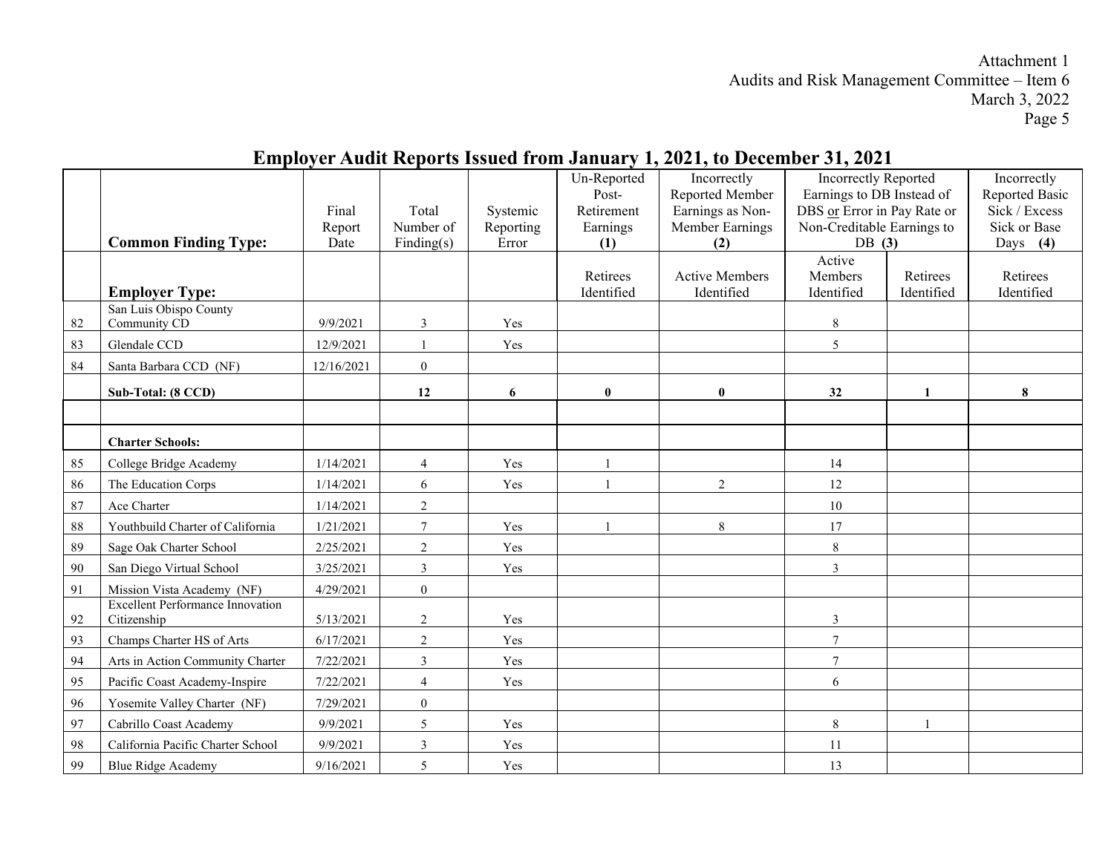#### **Common Finding Type:** Final Report Date Total Number of Finding(s) Systemic Reporting Error Un-Reported Post-Retirement Earnings **(1)** Incorrectly Reported Member Earnings as Non-Member Earnings **(2)** Incorrectly Reported Earnings to DB Instead of DBS or Error in Pay Rate or Non-Creditable Earnings to DB **(3)** Incorrectly Reported Basic Sick / Excess Sick or Base Days **(4) Employer Type:** Retirees Identified Active Members Identified Active Members Identified Retirees Identified Retirees Identified 82 San Luis Obispo County Community CD 9/9/2021 3 Yes 8 83 Glendale CCD 12/9/2021 1 Yes 1 84 | Santa Barbara CCD (NF) | 12/16/2021 | 0 **Sub-Total: (8 CCD) 12 6 0 0 32 1 8 Charter Schools:** 85 College Bridge Academy 1/14/2021 4 Yes 1 1 86 The Education Corps 1/14/2021 6 Yes 1 1 2 12 87 Ace Charter 1/14/2021 2 2 2 10 88 Youthbuild Charter of California | 1/21/2021 | 7 | Yes | 1 | 8 | 17 89 Sage Oak Charter School 2/25/2021 2 Yes 8 90 San Diego Virtual School 3/25/2021 3 Yes 3 91 | Mission Vista Academy (NF) | 4/29/2021 | 0 92 Excellent Performance Innovation Citizenship 5/13/2021 2 Yes 3 93 Champs Charter HS of Arts  $6/17/2021$  2 Yes  $\vert$  Yes  $\vert$  1 94 Arts in Action Community Charter 7/22/2021 3 Yes 7 95 Pacific Coast Academy-Inspire 7/22/2021 4 Yes 1 96 Yosemite Valley Charter (NF) 7/29/2021 0 97 Cabrillo Coast Academy 9/9/2021 5 Yes New Service 1 8 1 98 California Pacific Charter School 9/9/2021 3 Yes 11 99 Blue Ridge Academy 9/16/2021 | 5 | Yes | 13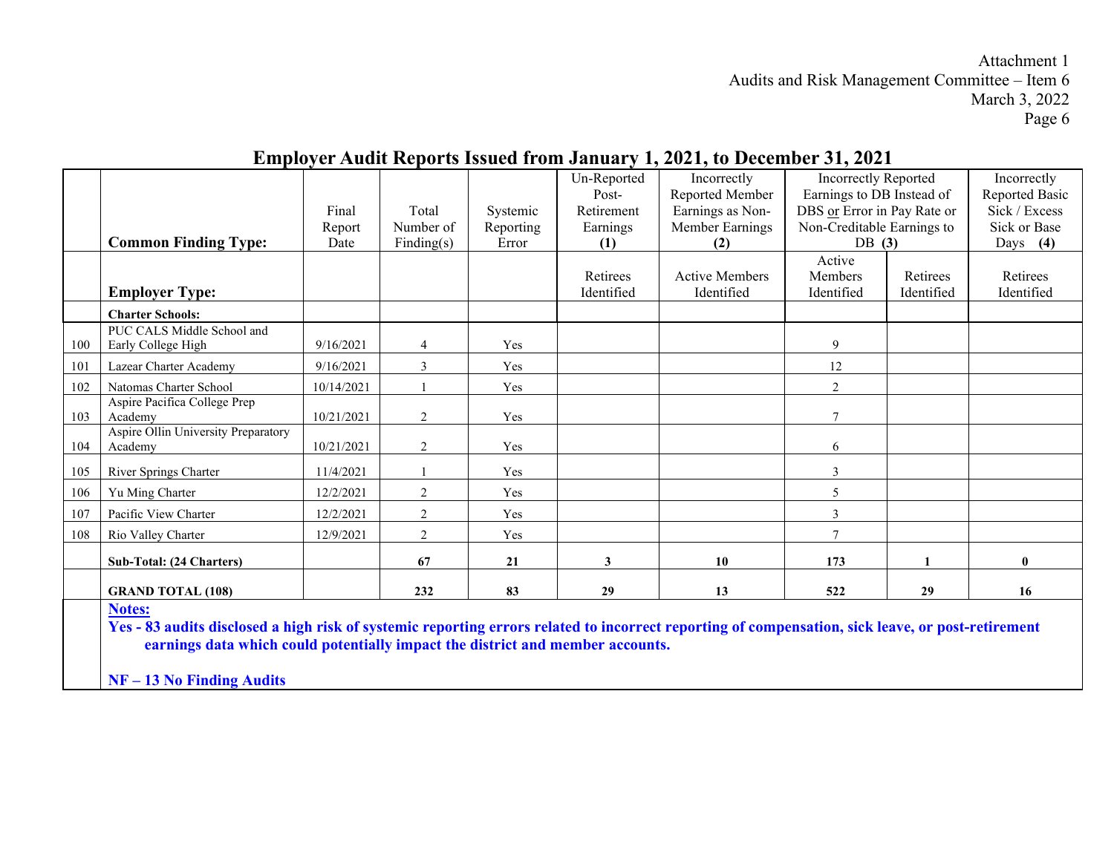#### **Common Finding Type:** Final Report Date Total Number of Finding(s) Systemic Reporting Error Un-Reported Post-Retirement Earnings **(1)** Incorrectly Reported Member Earnings as Non-Member Earnings **(2)** Incorrectly Reported Earnings to DB Instead of DBS or Error in Pay Rate or Non-Creditable Earnings to DB **(3)** Incorrectly Reported Basic Sick / Excess Sick or Base Days **(4) Employer Type:** Retirees Identified Active Members Identified Active Members Identified Retirees Identified Retirees Identified **Charter Schools:** 100 PUC CALS Middle School and Early College High 9/16/2021 4 Yes 9 101 Lazear Charter Academy 9/16/2021 3 Yes 12 102 Natomas Charter School 10/14/2021 1 1 Yes 2 103 Aspire Pacifica College Prep Academy 10/21/2021 2 Yes 1 104 Aspire Ollin University Preparatory Academy  $10/21/2021$  2 Yes 6 105 River Springs Charter 11/4/2021 1 1 Yes 3 106 Yu Ming Charter 12/2/2021 2 Yes 1 107 Pacific View Charter 12/2/2021 2 Yes 3 108 Rio Valley Charter 12/9/2021 2 Yes 1 **Sub-Total: (24 Charters) 67 21 3 10 173 1 0 GRAND TOTAL (108) 232 83 29 13 522 29 16 Notes: Yes - 83 audits disclosed a high risk of systemic reporting errors related to incorrect reporting of compensation, sick leave, or post-retirement earnings data which could potentially impact the district and member accounts.**

## **Employer Audit Reports Issued from January 1, 2021, to December 31, 2021**

**NF – 13 No Finding Audits**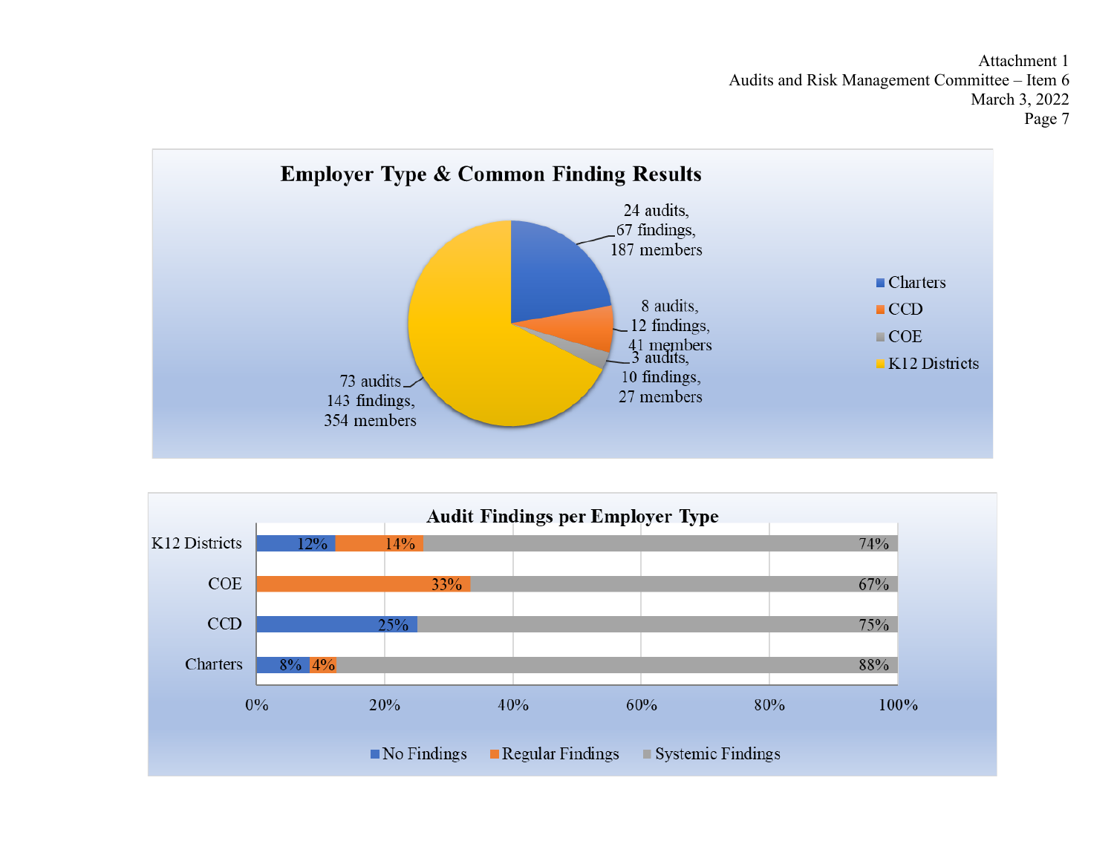

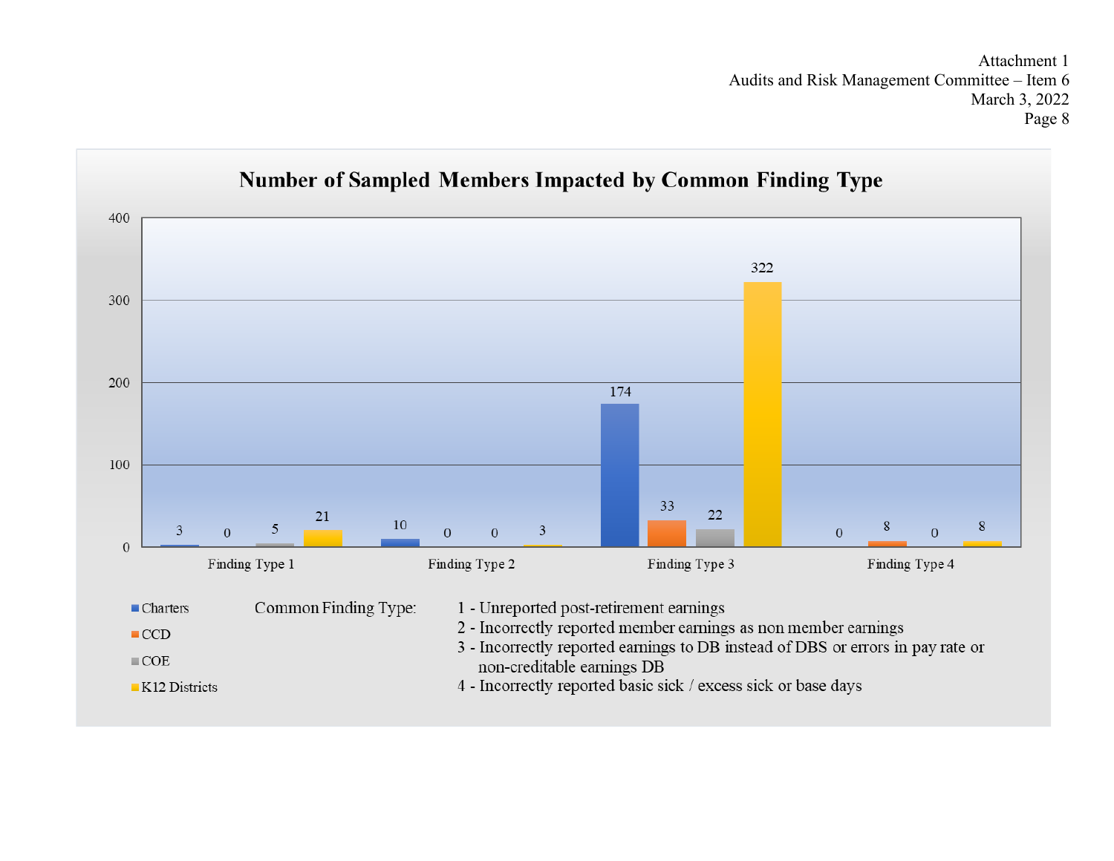

# **Number of Sampled Members Impacted by Common Finding Type**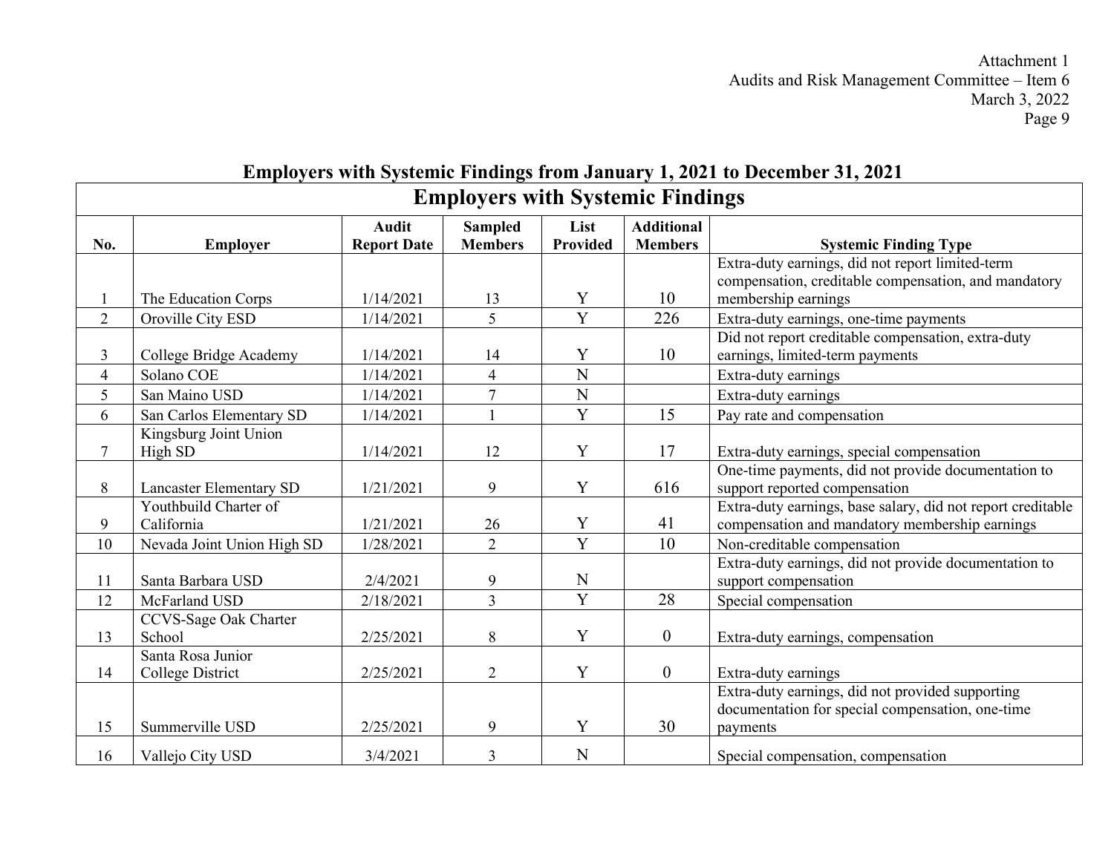## **Employers with Systemic Findings from January 1, 2021 to December 31, 2021 Employers with Systemic Findings**

|                            | <b>Audit</b>                                                                                  | <b>Sampled</b>                               | List                      | <b>Additional</b>                                                                            |                                                             |
|----------------------------|-----------------------------------------------------------------------------------------------|----------------------------------------------|---------------------------|----------------------------------------------------------------------------------------------|-------------------------------------------------------------|
|                            |                                                                                               |                                              |                           |                                                                                              | <b>Systemic Finding Type</b>                                |
|                            |                                                                                               |                                              |                           |                                                                                              | Extra-duty earnings, did not report limited-term            |
|                            |                                                                                               |                                              |                           |                                                                                              | compensation, creditable compensation, and mandatory        |
|                            |                                                                                               |                                              |                           |                                                                                              | membership earnings                                         |
|                            |                                                                                               |                                              |                           |                                                                                              | Extra-duty earnings, one-time payments                      |
|                            |                                                                                               |                                              |                           |                                                                                              | Did not report creditable compensation, extra-duty          |
| College Bridge Academy     | 1/14/2021                                                                                     | 14                                           |                           |                                                                                              | earnings, limited-term payments                             |
| Solano COE                 | 1/14/2021                                                                                     | $\overline{4}$                               | N                         |                                                                                              | Extra-duty earnings                                         |
| San Maino USD              | 1/14/2021                                                                                     |                                              |                           |                                                                                              | Extra-duty earnings                                         |
| San Carlos Elementary SD   | 1/14/2021                                                                                     |                                              | Y                         | 15                                                                                           | Pay rate and compensation                                   |
| Kingsburg Joint Union      |                                                                                               |                                              |                           |                                                                                              |                                                             |
| High SD                    | 1/14/2021                                                                                     | 12                                           | Y                         | 17                                                                                           | Extra-duty earnings, special compensation                   |
|                            |                                                                                               |                                              |                           |                                                                                              | One-time payments, did not provide documentation to         |
|                            | 1/21/2021                                                                                     | 9                                            | Y                         | 616                                                                                          | support reported compensation                               |
| Youthbuild Charter of      |                                                                                               |                                              |                           |                                                                                              | Extra-duty earnings, base salary, did not report creditable |
| California                 | 1/21/2021                                                                                     | 26                                           | Y                         | 41                                                                                           | compensation and mandatory membership earnings              |
| Nevada Joint Union High SD | 1/28/2021                                                                                     | $\overline{2}$                               |                           | 10                                                                                           | Non-creditable compensation                                 |
|                            |                                                                                               |                                              |                           |                                                                                              | Extra-duty earnings, did not provide documentation to       |
| Santa Barbara USD          | 2/4/2021                                                                                      | 9                                            | $\mathbf N$               |                                                                                              | support compensation                                        |
| McFarland USD              | 2/18/2021                                                                                     | $\overline{3}$                               |                           | 28                                                                                           | Special compensation                                        |
| CCVS-Sage Oak Charter      |                                                                                               |                                              |                           |                                                                                              |                                                             |
| School                     | 2/25/2021                                                                                     | 8                                            | Y                         | $\mathbf{0}$                                                                                 | Extra-duty earnings, compensation                           |
| Santa Rosa Junior          |                                                                                               |                                              |                           |                                                                                              |                                                             |
| College District           | 2/25/2021                                                                                     | $\overline{2}$                               | Y                         | $\boldsymbol{0}$                                                                             | Extra-duty earnings                                         |
|                            |                                                                                               |                                              |                           |                                                                                              | Extra-duty earnings, did not provided supporting            |
|                            |                                                                                               |                                              |                           |                                                                                              | documentation for special compensation, one-time            |
| Summerville USD            | 2/25/2021                                                                                     | 9                                            |                           |                                                                                              | payments                                                    |
| Vallejo City USD           | 3/4/2021                                                                                      | $\overline{3}$                               | N                         |                                                                                              | Special compensation, compensation                          |
|                            | <b>Employer</b><br>The Education Corps<br>Oroville City ESD<br><b>Lancaster Elementary SD</b> | <b>Report Date</b><br>1/14/2021<br>1/14/2021 | <b>Members</b><br>13<br>5 | Provided<br>Y<br>$\overline{Y}$<br>Y<br>$\mathbf N$<br>$\overline{Y}$<br>$\overline{Y}$<br>Y | <b>Members</b><br>10<br>226<br>10<br>30                     |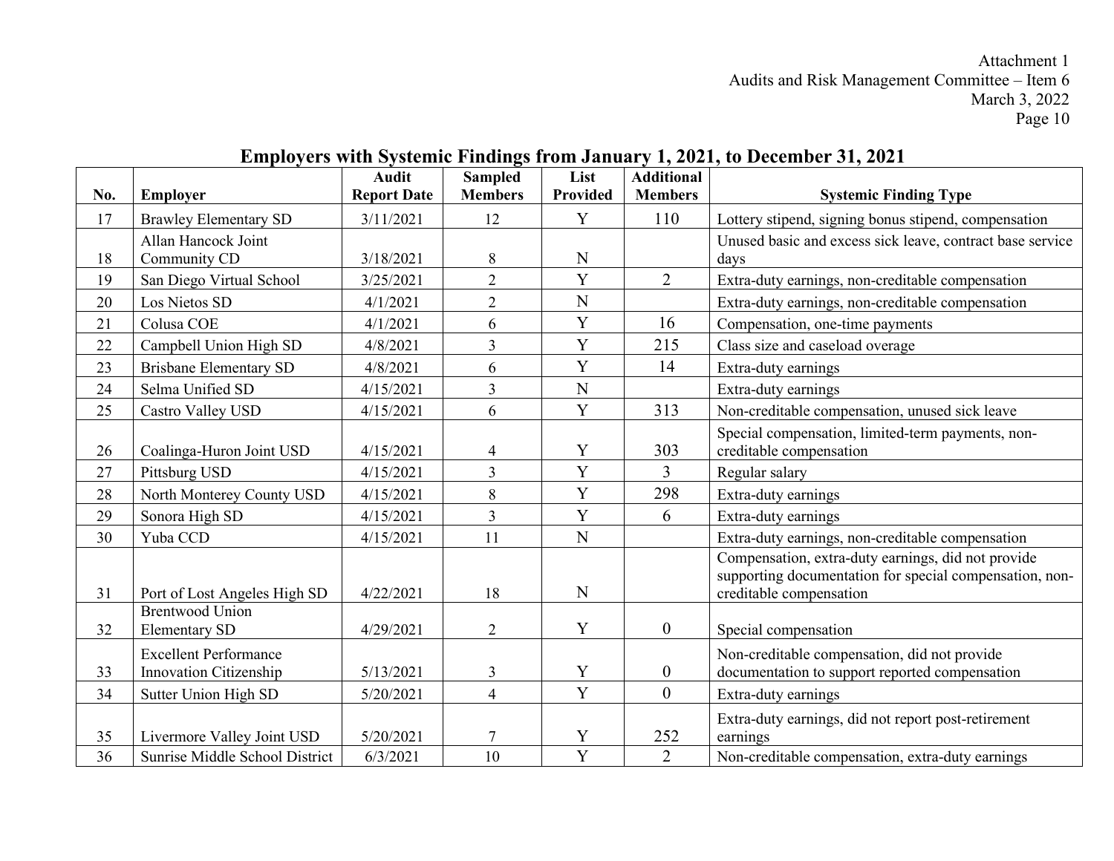| No. |                                | <b>Audit</b><br><b>Report Date</b> | <b>Sampled</b><br><b>Members</b> | List<br><b>Provided</b> | <b>Additional</b><br><b>Members</b> |                                                                                    |
|-----|--------------------------------|------------------------------------|----------------------------------|-------------------------|-------------------------------------|------------------------------------------------------------------------------------|
|     | <b>Employer</b>                |                                    |                                  |                         |                                     | <b>Systemic Finding Type</b>                                                       |
| 17  | <b>Brawley Elementary SD</b>   | 3/11/2021                          | 12                               | Y                       | 110                                 | Lottery stipend, signing bonus stipend, compensation                               |
|     | Allan Hancock Joint            |                                    |                                  |                         |                                     | Unused basic and excess sick leave, contract base service                          |
| 18  | Community CD                   | 3/18/2021                          | 8                                | $\mathbf N$             |                                     | days                                                                               |
| 19  | San Diego Virtual School       | 3/25/2021                          | $\overline{2}$                   | Y                       | $\overline{2}$                      | Extra-duty earnings, non-creditable compensation                                   |
| 20  | Los Nietos SD                  | 4/1/2021                           | $\overline{2}$                   | $\mathbf N$             |                                     | Extra-duty earnings, non-creditable compensation                                   |
| 21  | Colusa COE                     | 4/1/2021                           | 6                                | $\mathbf Y$             | 16                                  | Compensation, one-time payments                                                    |
| 22  | Campbell Union High SD         | 4/8/2021                           | $\overline{3}$                   | Y                       | 215                                 | Class size and caseload overage                                                    |
| 23  | <b>Brisbane Elementary SD</b>  | 4/8/2021                           | 6                                | Y                       | 14                                  | Extra-duty earnings                                                                |
| 24  | Selma Unified SD               | 4/15/2021                          | $\overline{3}$                   | $\overline{N}$          |                                     | Extra-duty earnings                                                                |
| 25  | Castro Valley USD              | 4/15/2021                          | 6                                | Y                       | 313                                 | Non-creditable compensation, unused sick leave                                     |
|     |                                |                                    |                                  |                         |                                     | Special compensation, limited-term payments, non-                                  |
| 26  | Coalinga-Huron Joint USD       | 4/15/2021                          | 4                                | Y                       | 303                                 | creditable compensation                                                            |
| 27  | Pittsburg USD                  | 4/15/2021                          | $\overline{3}$                   | Y                       | 3                                   | Regular salary                                                                     |
| 28  | North Monterey County USD      | 4/15/2021                          | 8                                | Y                       | 298                                 | Extra-duty earnings                                                                |
| 29  | Sonora High SD                 | 4/15/2021                          | $\overline{3}$                   | Y                       | 6                                   | Extra-duty earnings                                                                |
| 30  | Yuba CCD                       | 4/15/2021                          | 11                               | $\mathbf N$             |                                     | Extra-duty earnings, non-creditable compensation                                   |
|     |                                |                                    |                                  |                         |                                     | Compensation, extra-duty earnings, did not provide                                 |
| 31  | Port of Lost Angeles High SD   | 4/22/2021                          | 18                               | N                       |                                     | supporting documentation for special compensation, non-<br>creditable compensation |
|     | <b>Brentwood Union</b>         |                                    |                                  |                         |                                     |                                                                                    |
| 32  | <b>Elementary SD</b>           | 4/29/2021                          | $\overline{2}$                   | Y                       | $\boldsymbol{0}$                    | Special compensation                                                               |
|     | <b>Excellent Performance</b>   |                                    |                                  |                         |                                     | Non-creditable compensation, did not provide                                       |
| 33  | Innovation Citizenship         | 5/13/2021                          | 3                                | Y                       | $\boldsymbol{0}$                    | documentation to support reported compensation                                     |
| 34  | Sutter Union High SD           | 5/20/2021                          | $\overline{4}$                   | Y                       | $\boldsymbol{0}$                    | Extra-duty earnings                                                                |
|     |                                |                                    |                                  |                         |                                     | Extra-duty earnings, did not report post-retirement                                |
| 35  | Livermore Valley Joint USD     | 5/20/2021                          |                                  | Y                       | 252                                 | earnings                                                                           |
| 36  | Sunrise Middle School District | 6/3/2021                           | 10                               | $\overline{Y}$          | $\overline{2}$                      | Non-creditable compensation, extra-duty earnings                                   |

## **Employers with Systemic Findings from January 1, 2021, to December 31, 2021**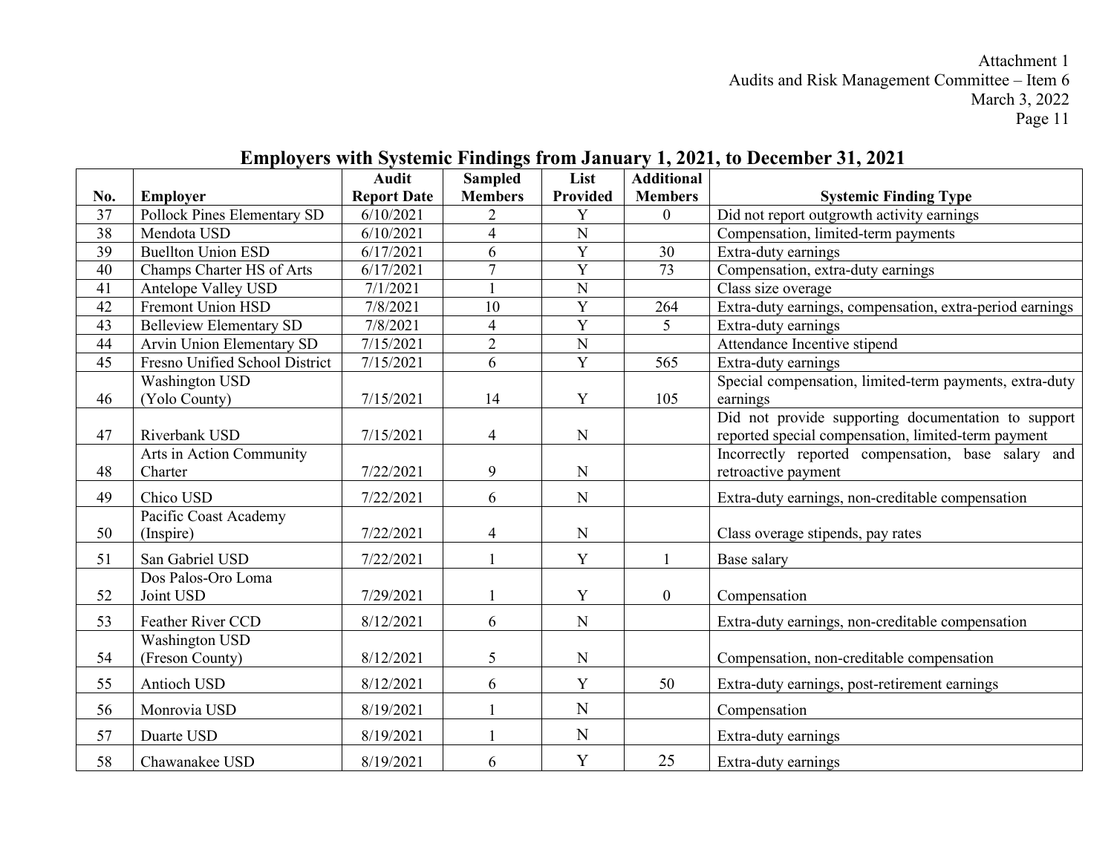|                 |                                | <b>Audit</b>       | <b>Sampled</b>           | List           | <b>Additional</b> |                                                          |
|-----------------|--------------------------------|--------------------|--------------------------|----------------|-------------------|----------------------------------------------------------|
| No.             | <b>Employer</b>                | <b>Report Date</b> | <b>Members</b>           | Provided       | <b>Members</b>    | <b>Systemic Finding Type</b>                             |
| 37              | Pollock Pines Elementary SD    | 6/10/2021          | 2                        | Y              | $\mathbf{0}$      | Did not report outgrowth activity earnings               |
| 38              | Mendota USD                    | 6/10/2021          | $\overline{4}$           | ${\bf N}$      |                   | Compensation, limited-term payments                      |
| 39              | <b>Buellton Union ESD</b>      | 6/17/2021          | 6                        | Y              | 30                | Extra-duty earnings                                      |
| 40              | Champs Charter HS of Arts      | 6/17/2021          | $\tau$                   | $\overline{Y}$ | 73                | Compensation, extra-duty earnings                        |
| $\overline{41}$ | Antelope Valley USD            | 7/1/2021           |                          | $\overline{N}$ |                   | Class size overage                                       |
| 42              | Fremont Union HSD              | 7/8/2021           | 10                       | Y              | 264               | Extra-duty earnings, compensation, extra-period earnings |
| 43              | <b>Belleview Elementary SD</b> | 7/8/2021           | $\overline{\mathcal{L}}$ | $\overline{Y}$ | $\mathfrak{S}$    | Extra-duty earnings                                      |
| 44              | Arvin Union Elementary SD      | 7/15/2021          | $\overline{2}$           | $\mathbf N$    |                   | Attendance Incentive stipend                             |
| 45              | Fresno Unified School District | 7/15/2021          | 6                        | $\overline{Y}$ | 565               | Extra-duty earnings                                      |
|                 | <b>Washington USD</b>          |                    |                          |                |                   | Special compensation, limited-term payments, extra-duty  |
| 46              | (Yolo County)                  | 7/15/2021          | 14                       | $\mathbf Y$    | 105               | earnings                                                 |
|                 |                                |                    |                          |                |                   | Did not provide supporting documentation to support      |
| 47              | Riverbank USD                  | 7/15/2021          | $\overline{4}$           | N              |                   | reported special compensation, limited-term payment      |
|                 | Arts in Action Community       |                    |                          |                |                   | Incorrectly reported compensation, base salary and       |
| 48              | Charter                        | 7/22/2021          | 9                        | $\mathbf N$    |                   | retroactive payment                                      |
| 49              | Chico USD                      | 7/22/2021          | 6                        | $\mathbf N$    |                   | Extra-duty earnings, non-creditable compensation         |
|                 | Pacific Coast Academy          |                    |                          |                |                   |                                                          |
| 50              | (Inspire)                      | 7/22/2021          | $\overline{4}$           | ${\bf N}$      |                   | Class overage stipends, pay rates                        |
| 51              | San Gabriel USD                | 7/22/2021          |                          | Y              |                   | Base salary                                              |
|                 | Dos Palos-Oro Loma             |                    |                          |                |                   |                                                          |
| 52              | Joint USD                      | 7/29/2021          |                          | Y              | $\overline{0}$    | Compensation                                             |
| 53              | Feather River CCD              | 8/12/2021          | 6                        | $\mathbf N$    |                   | Extra-duty earnings, non-creditable compensation         |
|                 | <b>Washington USD</b>          |                    |                          |                |                   |                                                          |
| 54              | (Freson County)                | 8/12/2021          | 5                        | ${\bf N}$      |                   | Compensation, non-creditable compensation                |
| 55              | Antioch USD                    | 8/12/2021          | 6                        | Y              | 50                | Extra-duty earnings, post-retirement earnings            |
| 56              | Monrovia USD                   | 8/19/2021          |                          | N              |                   | Compensation                                             |
| 57              | Duarte USD                     | 8/19/2021          |                          | $\mathbf N$    |                   | Extra-duty earnings                                      |
| 58              | Chawanakee USD                 | 8/19/2021          | 6                        | Y              | 25                | Extra-duty earnings                                      |

## **Employers with Systemic Findings from January 1, 2021, to December 31, 2021**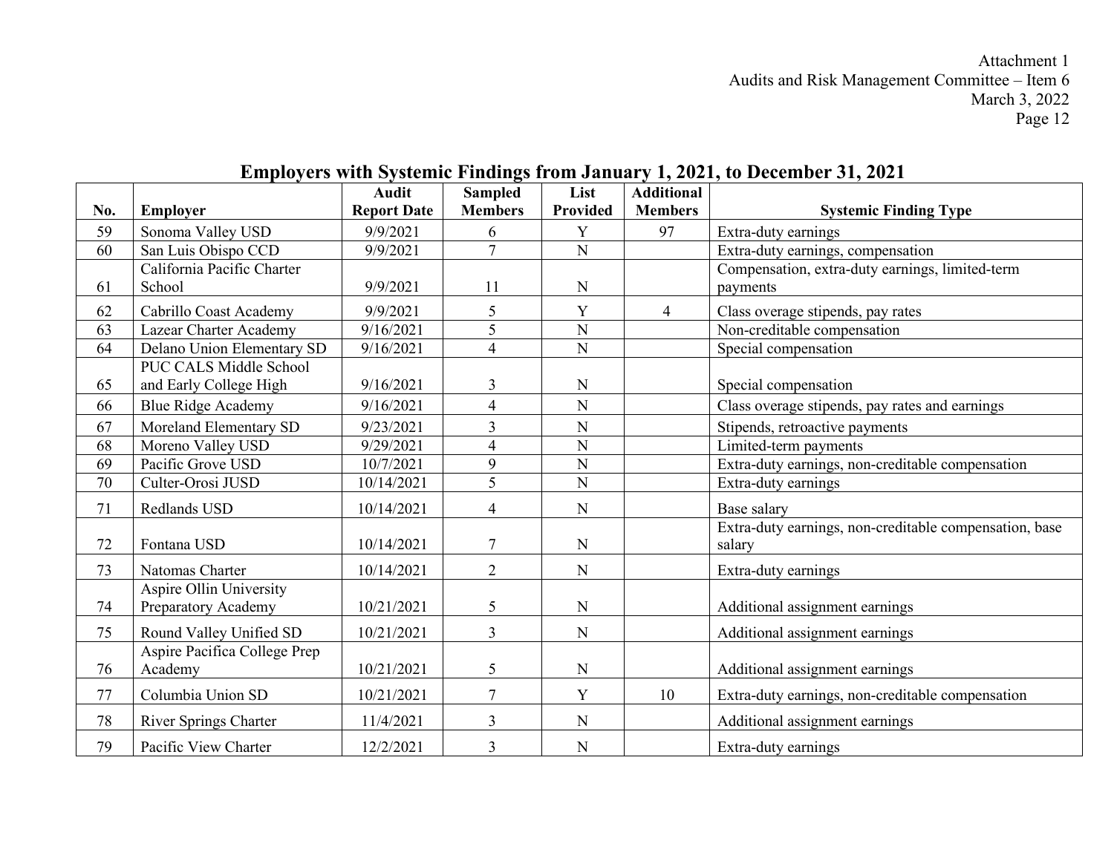|     |                                                | <b>Audit</b>       | <b>Sampled</b> | List            | <b>Additional</b> |                                                                  |
|-----|------------------------------------------------|--------------------|----------------|-----------------|-------------------|------------------------------------------------------------------|
| No. | Employer                                       | <b>Report Date</b> | <b>Members</b> | <b>Provided</b> | <b>Members</b>    | <b>Systemic Finding Type</b>                                     |
| 59  | Sonoma Valley USD                              | 9/9/2021           | 6              | Y               | 97                | Extra-duty earnings                                              |
| 60  | San Luis Obispo CCD                            | 9/9/2021           | $\overline{7}$ | $\mathbf N$     |                   | Extra-duty earnings, compensation                                |
|     | California Pacific Charter                     |                    |                |                 |                   | Compensation, extra-duty earnings, limited-term                  |
| 61  | School                                         | 9/9/2021           | 11             | N               |                   | payments                                                         |
| 62  | Cabrillo Coast Academy                         | 9/9/2021           | 5              | Y               | $\overline{4}$    | Class overage stipends, pay rates                                |
| 63  | Lazear Charter Academy                         | 9/16/2021          | 5              | $\mathbf N$     |                   | Non-creditable compensation                                      |
| 64  | Delano Union Elementary SD                     | 9/16/2021          | $\overline{4}$ | $\mathbf N$     |                   | Special compensation                                             |
|     | PUC CALS Middle School                         |                    |                |                 |                   |                                                                  |
| 65  | and Early College High                         | 9/16/2021          | 3              | N               |                   | Special compensation                                             |
| 66  | <b>Blue Ridge Academy</b>                      | 9/16/2021          | $\overline{4}$ | N               |                   | Class overage stipends, pay rates and earnings                   |
| 67  | Moreland Elementary SD                         | 9/23/2021          | 3              | N               |                   | Stipends, retroactive payments                                   |
| 68  | Moreno Valley USD                              | 9/29/2021          | $\overline{4}$ | $\mathbf N$     |                   | Limited-term payments                                            |
| 69  | Pacific Grove USD                              | 10/7/2021          | 9              | $\mathbf N$     |                   | Extra-duty earnings, non-creditable compensation                 |
| 70  | Culter-Orosi JUSD                              | 10/14/2021         | 5              | ${\bf N}$       |                   | Extra-duty earnings                                              |
| 71  | Redlands USD                                   | 10/14/2021         | $\overline{4}$ | ${\bf N}$       |                   | Base salary                                                      |
| 72  | Fontana USD                                    | 10/14/2021         | 7              | $\mathbf N$     |                   | Extra-duty earnings, non-creditable compensation, base<br>salary |
| 73  | Natomas Charter                                | 10/14/2021         | $\overline{2}$ | N               |                   | Extra-duty earnings                                              |
| 74  | Aspire Ollin University<br>Preparatory Academy | 10/21/2021         | 5              | ${\bf N}$       |                   | Additional assignment earnings                                   |
| 75  | Round Valley Unified SD                        | 10/21/2021         | $\overline{3}$ | N               |                   | Additional assignment earnings                                   |
| 76  | Aspire Pacifica College Prep<br>Academy        | 10/21/2021         | 5              | $\mathbf N$     |                   | Additional assignment earnings                                   |
| 77  | Columbia Union SD                              | 10/21/2021         | $\overline{7}$ | Y               | 10                | Extra-duty earnings, non-creditable compensation                 |
| 78  | <b>River Springs Charter</b>                   | 11/4/2021          | 3              | N               |                   | Additional assignment earnings                                   |
| 79  | Pacific View Charter                           | 12/2/2021          | $\overline{3}$ | N               |                   | Extra-duty earnings                                              |

## **Employers with Systemic Findings from January 1, 2021, to December 31, 2021**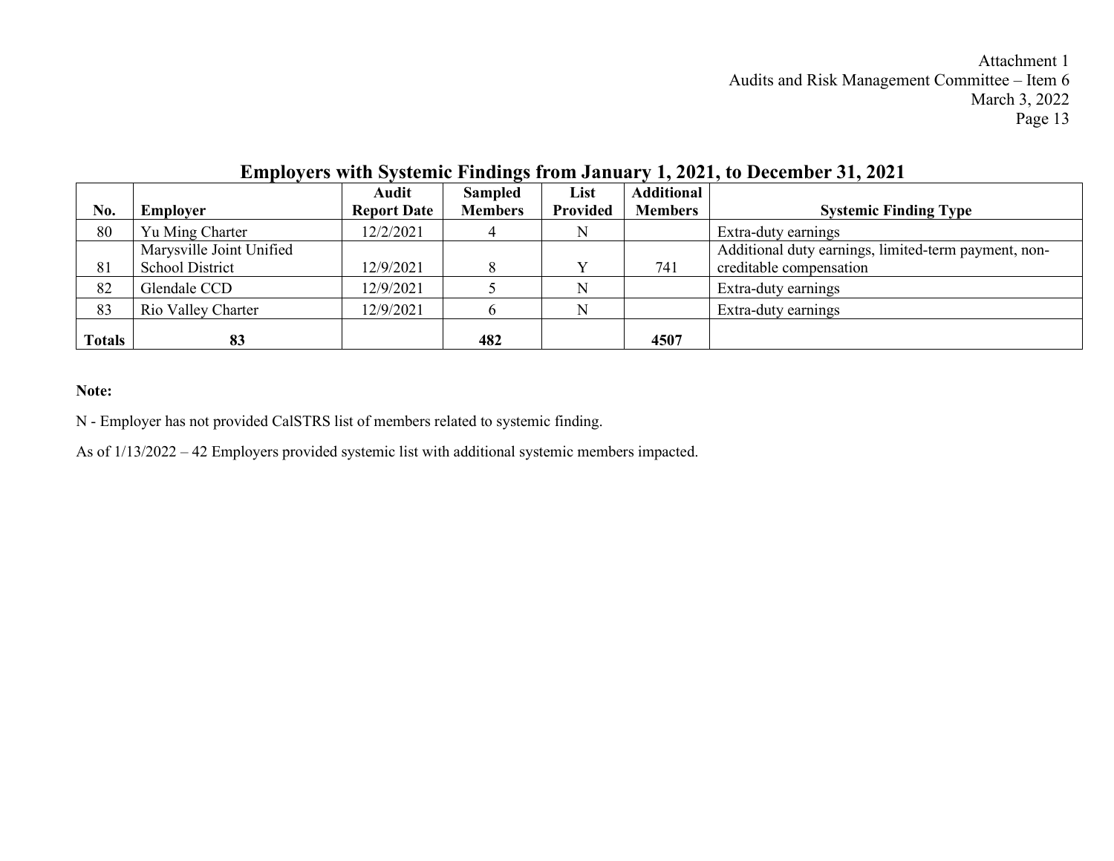|               |                          | Audit              | <b>Sampled</b> | List     | Additional     |                                                      |
|---------------|--------------------------|--------------------|----------------|----------|----------------|------------------------------------------------------|
| No.           | <b>Employer</b>          | <b>Report Date</b> | <b>Members</b> | Provided | <b>Members</b> | <b>Systemic Finding Type</b>                         |
| 80            | Yu Ming Charter          | 12/2/2021          |                | N        |                | Extra-duty earnings                                  |
|               | Marysville Joint Unified |                    |                |          |                | Additional duty earnings, limited-term payment, non- |
| 81            | School District          | 12/9/2021          |                |          | 741            | creditable compensation                              |
| 82            | Glendale CCD             | 12/9/2021          |                | N        |                | Extra-duty earnings                                  |
| 83            | Rio Valley Charter       | 12/9/2021          |                | N        |                | Extra-duty earnings                                  |
| <b>Totals</b> | 83                       |                    | 482            |          | 4507           |                                                      |

## **Employers with Systemic Findings from January 1, 2021, to December 31, 2021**

#### **Note:**

N - Employer has not provided CalSTRS list of members related to systemic finding.

As of 1/13/2022 – 42 Employers provided systemic list with additional systemic members impacted.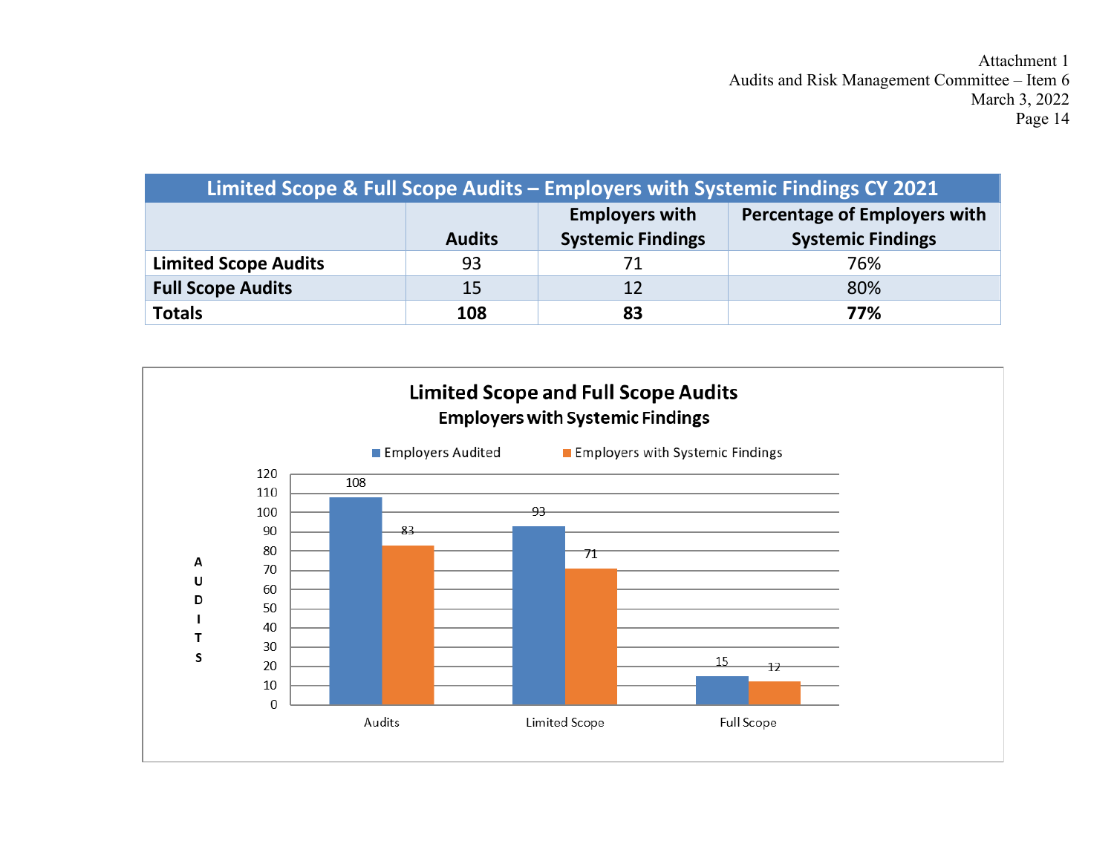| Limited Scope & Full Scope Audits - Employers with Systemic Findings CY 2021 |               |                                                   |                                                                 |  |  |  |  |  |  |  |
|------------------------------------------------------------------------------|---------------|---------------------------------------------------|-----------------------------------------------------------------|--|--|--|--|--|--|--|
|                                                                              | <b>Audits</b> | <b>Employers with</b><br><b>Systemic Findings</b> | <b>Percentage of Employers with</b><br><b>Systemic Findings</b> |  |  |  |  |  |  |  |
| <b>Limited Scope Audits</b>                                                  | 93            |                                                   | 76%                                                             |  |  |  |  |  |  |  |
| <b>Full Scope Audits</b>                                                     | 15            | 12                                                | 80%                                                             |  |  |  |  |  |  |  |
| <b>Totals</b>                                                                | 108           | 83                                                | 77%                                                             |  |  |  |  |  |  |  |